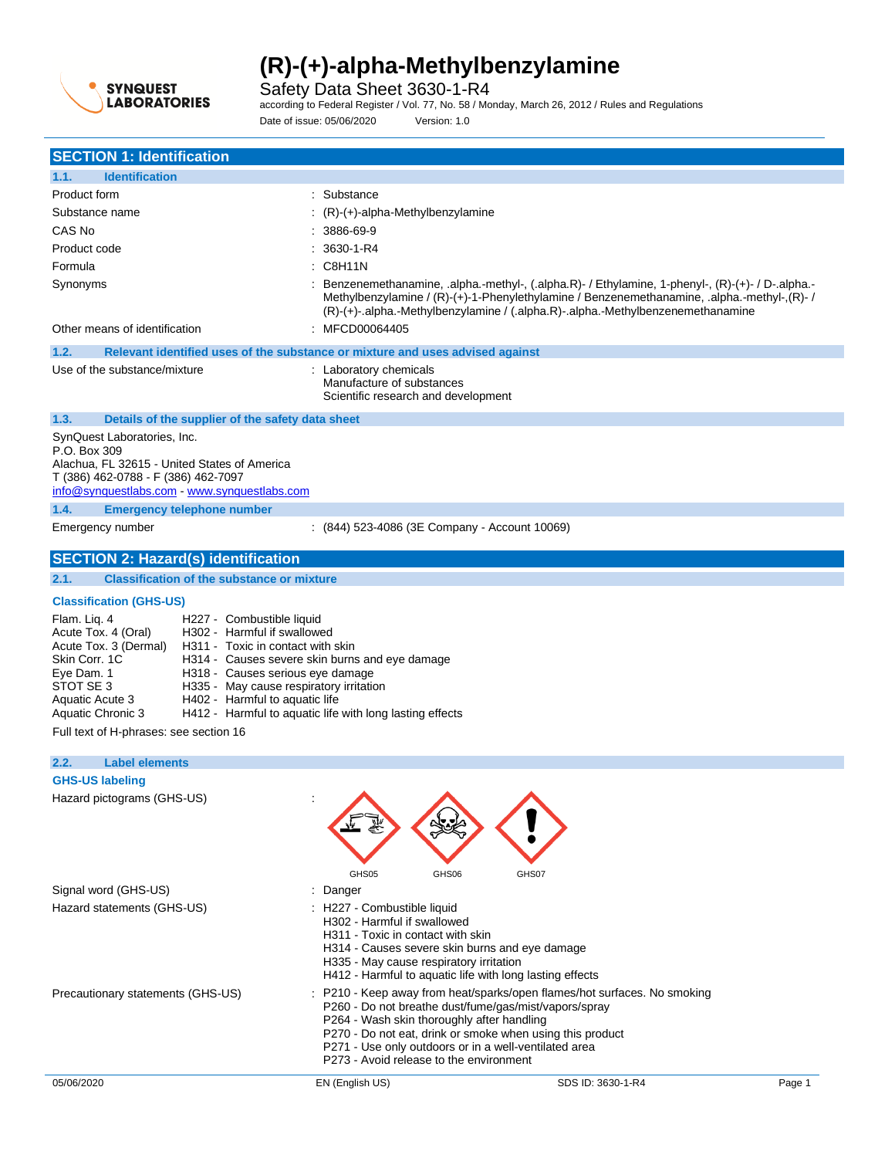

Safety Data Sheet 3630-1-R4

according to Federal Register / Vol. 77, No. 58 / Monday, March 26, 2012 / Rules and Regulations Date of issue: 05/06/2020 Version: 1.0

| <b>SECTION 1: Identification</b>                                                                                                                                                                                                                                                                                                                                                                                                                                                                                         |                                                                                                                                                |                                                                                                                                                                                                                                                                                  |        |
|--------------------------------------------------------------------------------------------------------------------------------------------------------------------------------------------------------------------------------------------------------------------------------------------------------------------------------------------------------------------------------------------------------------------------------------------------------------------------------------------------------------------------|------------------------------------------------------------------------------------------------------------------------------------------------|----------------------------------------------------------------------------------------------------------------------------------------------------------------------------------------------------------------------------------------------------------------------------------|--------|
| <b>Identification</b><br>1.1.                                                                                                                                                                                                                                                                                                                                                                                                                                                                                            |                                                                                                                                                |                                                                                                                                                                                                                                                                                  |        |
| Product form                                                                                                                                                                                                                                                                                                                                                                                                                                                                                                             | : Substance                                                                                                                                    |                                                                                                                                                                                                                                                                                  |        |
| Substance name                                                                                                                                                                                                                                                                                                                                                                                                                                                                                                           | (R)-(+)-alpha-Methylbenzylamine                                                                                                                |                                                                                                                                                                                                                                                                                  |        |
| CAS No                                                                                                                                                                                                                                                                                                                                                                                                                                                                                                                   | 3886-69-9                                                                                                                                      |                                                                                                                                                                                                                                                                                  |        |
| Product code                                                                                                                                                                                                                                                                                                                                                                                                                                                                                                             | 3630-1-R4                                                                                                                                      |                                                                                                                                                                                                                                                                                  |        |
| Formula                                                                                                                                                                                                                                                                                                                                                                                                                                                                                                                  | C8H11N                                                                                                                                         |                                                                                                                                                                                                                                                                                  |        |
| Synonyms<br>Other means of identification                                                                                                                                                                                                                                                                                                                                                                                                                                                                                | : MFCD00064405                                                                                                                                 | Benzenemethanamine, alpha.-methyl-, (.alpha.R)- / Ethylamine, 1-phenyl-, (R)-(+)- / D-.alpha.-<br>/ Methylbenzylamine / (R)-(+)-1-Phenylethylamine / Benzenemethanamine, .alpha.-methyl-,(R)-<br>(R)-(+)-.alpha.-Methylbenzylamine / (.alpha.R)-.alpha.-Methylbenzenemethanamine |        |
| 1.2.<br>Relevant identified uses of the substance or mixture and uses advised against                                                                                                                                                                                                                                                                                                                                                                                                                                    |                                                                                                                                                |                                                                                                                                                                                                                                                                                  |        |
| Use of the substance/mixture                                                                                                                                                                                                                                                                                                                                                                                                                                                                                             | : Laboratory chemicals<br>Manufacture of substances<br>Scientific research and development                                                     |                                                                                                                                                                                                                                                                                  |        |
| 1.3.<br>Details of the supplier of the safety data sheet                                                                                                                                                                                                                                                                                                                                                                                                                                                                 |                                                                                                                                                |                                                                                                                                                                                                                                                                                  |        |
| SynQuest Laboratories, Inc.<br>P.O. Box 309<br>Alachua, FL 32615 - United States of America<br>T (386) 462-0788 - F (386) 462-7097<br>info@synquestlabs.com www.synquestlabs.com<br>1.4.<br><b>Emergency telephone number</b>                                                                                                                                                                                                                                                                                            |                                                                                                                                                |                                                                                                                                                                                                                                                                                  |        |
| Emergency number                                                                                                                                                                                                                                                                                                                                                                                                                                                                                                         | $(844)$ 523-4086 (3E Company - Account 10069)                                                                                                  |                                                                                                                                                                                                                                                                                  |        |
| <b>SECTION 2: Hazard(s) identification</b>                                                                                                                                                                                                                                                                                                                                                                                                                                                                               |                                                                                                                                                |                                                                                                                                                                                                                                                                                  |        |
| 2.1.<br><b>Classification of the substance or mixture</b>                                                                                                                                                                                                                                                                                                                                                                                                                                                                |                                                                                                                                                |                                                                                                                                                                                                                                                                                  |        |
| <b>Classification (GHS-US)</b>                                                                                                                                                                                                                                                                                                                                                                                                                                                                                           |                                                                                                                                                |                                                                                                                                                                                                                                                                                  |        |
| Flam. Liq. 4<br>H227 - Combustible liquid<br>H302 - Harmful if swallowed<br>Acute Tox. 4 (Oral)<br>Acute Tox. 3 (Dermal)<br>H311 Toxic in contact with skin<br>Skin Corr. 1C<br>H314 - Causes severe skin burns and eye damage<br>Eye Dam. 1<br>H318 - Causes serious eye damage<br>STOT SE 3<br>H335 - May cause respiratory irritation<br>H402 - Harmful to aquatic life<br>Aquatic Acute 3<br>H412 - Harmful to aquatic life with long lasting effects<br>Aquatic Chronic 3<br>Full text of H-phrases: see section 16 |                                                                                                                                                |                                                                                                                                                                                                                                                                                  |        |
| 2.2.<br><b>Label elements</b>                                                                                                                                                                                                                                                                                                                                                                                                                                                                                            |                                                                                                                                                |                                                                                                                                                                                                                                                                                  |        |
| <b>GHS-US labeling</b>                                                                                                                                                                                                                                                                                                                                                                                                                                                                                                   |                                                                                                                                                |                                                                                                                                                                                                                                                                                  |        |
| Hazard pictograms (GHS-US)                                                                                                                                                                                                                                                                                                                                                                                                                                                                                               | GHS05<br>GHS06                                                                                                                                 | GHS07                                                                                                                                                                                                                                                                            |        |
| Signal word (GHS-US)                                                                                                                                                                                                                                                                                                                                                                                                                                                                                                     | : Danger                                                                                                                                       |                                                                                                                                                                                                                                                                                  |        |
| Hazard statements (GHS-US)<br>: H227 - Combustible liquid<br>H302 - Harmful if swallowed<br>H311 - Toxic in contact with skin<br>H314 - Causes severe skin burns and eye damage<br>H335 - May cause respiratory irritation<br>H412 - Harmful to aquatic life with long lasting effects                                                                                                                                                                                                                                   |                                                                                                                                                |                                                                                                                                                                                                                                                                                  |        |
| Precautionary statements (GHS-US)                                                                                                                                                                                                                                                                                                                                                                                                                                                                                        | P264 - Wash skin thoroughly after handling<br>P271 - Use only outdoors or in a well-ventilated area<br>P273 - Avoid release to the environment | : P210 - Keep away from heat/sparks/open flames/hot surfaces. No smoking<br>P260 - Do not breathe dust/fume/gas/mist/vapors/spray<br>P270 - Do not eat, drink or smoke when using this product                                                                                   |        |
| 05/06/2020                                                                                                                                                                                                                                                                                                                                                                                                                                                                                                               | EN (English US)                                                                                                                                | SDS ID: 3630-1-R4                                                                                                                                                                                                                                                                | Page 1 |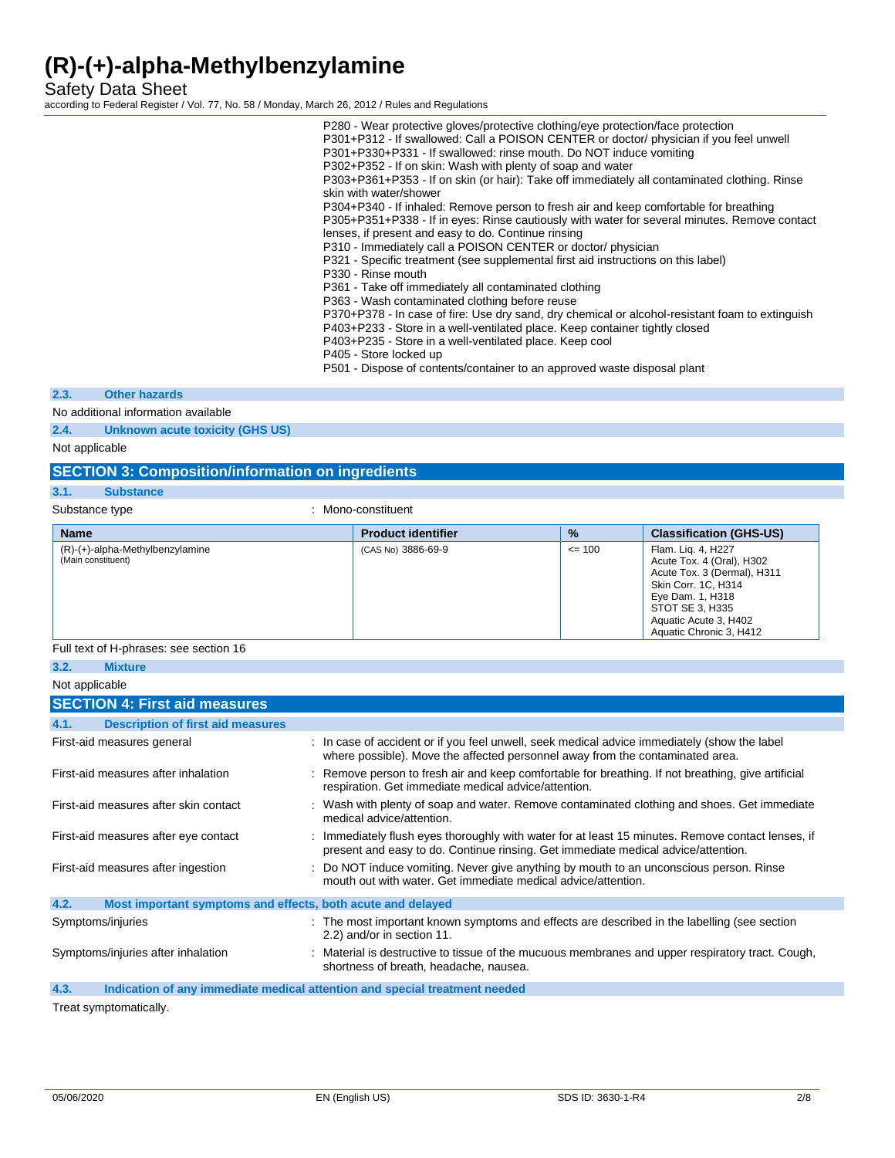Safety Data Sheet

according to Federal Register / Vol. 77, No. 58 / Monday, March 26, 2012 / Rules and Regulations

|  | P280 - Wear protective gloves/protective clothing/eye protection/face protection                |  |
|--|-------------------------------------------------------------------------------------------------|--|
|  | P301+P312 - If swallowed: Call a POISON CENTER or doctor/ physician if you feel unwell          |  |
|  | P301+P330+P331 - If swallowed: rinse mouth. Do NOT induce vomiting                              |  |
|  | P302+P352 - If on skin: Wash with plenty of soap and water                                      |  |
|  | P303+P361+P353 - If on skin (or hair): Take off immediately all contaminated clothing. Rinse    |  |
|  | skin with water/shower                                                                          |  |
|  | P304+P340 - If inhaled: Remove person to fresh air and keep comfortable for breathing           |  |
|  | P305+P351+P338 - If in eyes: Rinse cautiously with water for several minutes. Remove contact    |  |
|  | lenses, if present and easy to do. Continue rinsing                                             |  |
|  | P310 - Immediately call a POISON CENTER or doctor/ physician                                    |  |
|  | P321 - Specific treatment (see supplemental first aid instructions on this label)               |  |
|  | P330 - Rinse mouth                                                                              |  |
|  | P361 - Take off immediately all contaminated clothing                                           |  |
|  | P363 - Wash contaminated clothing before reuse                                                  |  |
|  | P370+P378 - In case of fire: Use dry sand, dry chemical or alcohol-resistant foam to extinguish |  |
|  | P403+P233 - Store in a well-ventilated place. Keep container tightly closed                     |  |
|  | P403+P235 - Store in a well-ventilated place. Keep cool                                         |  |
|  | P405 - Store locked up                                                                          |  |
|  |                                                                                                 |  |

P501 - Dispose of contents/container to an approved waste disposal plant

### **2.3. Other hazards**

No additional information available

**2.4. Unknown acute toxicity (GHS US)**

Not applicable

## **SECTION 3: Composition/information on ingredients**

## **3.1. Substance**

Substance type  $\qquad \qquad$ : Mono-constituent

| <b>Name</b>                                           | <b>Product identifier</b> | $\frac{9}{6}$ | <b>Classification (GHS-US)</b>                                                                                                                                                                   |
|-------------------------------------------------------|---------------------------|---------------|--------------------------------------------------------------------------------------------------------------------------------------------------------------------------------------------------|
| (R)-(+)-alpha-Methylbenzylamine<br>(Main constituent) | (CAS No) 3886-69-9        | $\leq 100$    | Flam. Lig. 4, H227<br>Acute Tox. 4 (Oral), H302<br>Acute Tox. 3 (Dermal), H311<br>Skin Corr. 1C, H314<br>Eye Dam. 1, H318<br>STOT SE 3, H335<br>Aquatic Acute 3, H402<br>Aquatic Chronic 3, H412 |

### Full text of H-phrases: see section 16

**3.2. Mixture** Not applicable

| <b>NOT applicable</b>                                                                     |                                                                                                                                                                                        |
|-------------------------------------------------------------------------------------------|----------------------------------------------------------------------------------------------------------------------------------------------------------------------------------------|
| <b>SECTION 4: First aid measures</b>                                                      |                                                                                                                                                                                        |
| <b>Description of first aid measures</b><br>4.1.                                          |                                                                                                                                                                                        |
| First-aid measures general                                                                | : In case of accident or if you feel unwell, seek medical advice immediately (show the label<br>where possible). Move the affected personnel away from the contaminated area.          |
| First-aid measures after inhalation                                                       | : Remove person to fresh air and keep comfortable for breathing. If not breathing, give artificial<br>respiration. Get immediate medical advice/attention.                             |
| First-aid measures after skin contact                                                     | : Wash with plenty of soap and water. Remove contaminated clothing and shoes. Get immediate<br>medical advice/attention.                                                               |
| First-aid measures after eye contact                                                      | : Immediately flush eyes thoroughly with water for at least 15 minutes. Remove contact lenses, if<br>present and easy to do. Continue rinsing. Get immediate medical advice/attention. |
| First-aid measures after ingestion                                                        | : Do NOT induce vomiting. Never give anything by mouth to an unconscious person. Rinse<br>mouth out with water. Get immediate medical advice/attention.                                |
| 4.2.<br>Most important symptoms and effects, both acute and delayed                       |                                                                                                                                                                                        |
| Symptoms/injuries                                                                         | : The most important known symptoms and effects are described in the labelling (see section<br>2.2) and/or in section 11.                                                              |
| Symptoms/injuries after inhalation                                                        | : Material is destructive to tissue of the mucuous membranes and upper respiratory tract. Cough,<br>shortness of breath, headache, nausea.                                             |
| $\sqrt{2}$<br>Indication of only immediate medical ettention and coordel treatment needed |                                                                                                                                                                                        |

**4.3. Indication of any immediate medical attention and special treatment needed**

Treat symptomatically.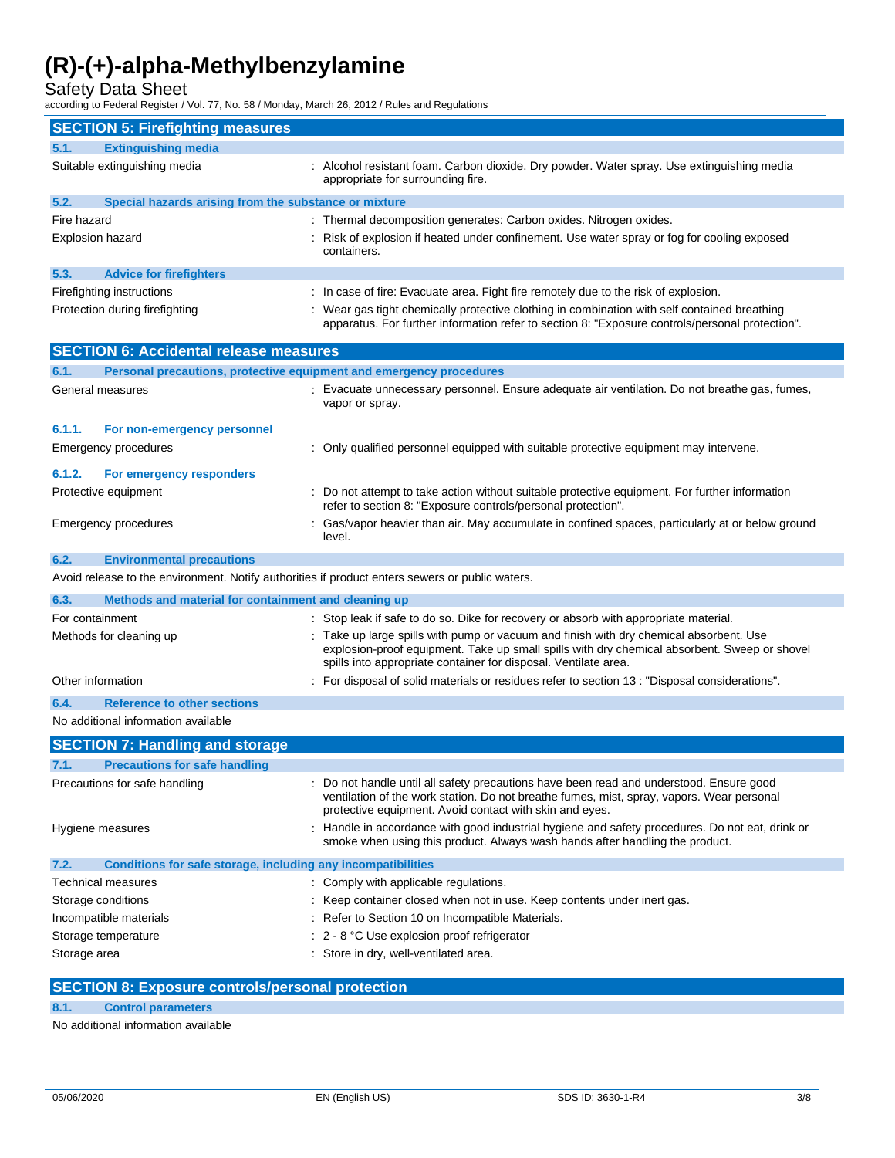Safety Data Sheet

according to Federal Register / Vol. 77, No. 58 / Monday, March 26, 2012 / Rules and Regulations

| <b>SECTION 5: Firefighting measures</b>                                                         |                                                                                                                                                                                                                                                         |  |  |
|-------------------------------------------------------------------------------------------------|---------------------------------------------------------------------------------------------------------------------------------------------------------------------------------------------------------------------------------------------------------|--|--|
| 5.1.<br><b>Extinguishing media</b>                                                              |                                                                                                                                                                                                                                                         |  |  |
| Suitable extinguishing media                                                                    | : Alcohol resistant foam. Carbon dioxide. Dry powder. Water spray. Use extinguishing media<br>appropriate for surrounding fire.                                                                                                                         |  |  |
| 5.2.<br>Special hazards arising from the substance or mixture                                   |                                                                                                                                                                                                                                                         |  |  |
| Fire hazard                                                                                     | : Thermal decomposition generates: Carbon oxides. Nitrogen oxides.                                                                                                                                                                                      |  |  |
| <b>Explosion hazard</b>                                                                         | Risk of explosion if heated under confinement. Use water spray or fog for cooling exposed<br>containers.                                                                                                                                                |  |  |
| 5.3.<br><b>Advice for firefighters</b>                                                          |                                                                                                                                                                                                                                                         |  |  |
| Firefighting instructions                                                                       | : In case of fire: Evacuate area. Fight fire remotely due to the risk of explosion.                                                                                                                                                                     |  |  |
| Protection during firefighting                                                                  | : Wear gas tight chemically protective clothing in combination with self contained breathing<br>apparatus. For further information refer to section 8: "Exposure controls/personal protection".                                                         |  |  |
| <b>SECTION 6: Accidental release measures</b>                                                   |                                                                                                                                                                                                                                                         |  |  |
| 6.1.<br>Personal precautions, protective equipment and emergency procedures                     |                                                                                                                                                                                                                                                         |  |  |
| General measures                                                                                | Evacuate unnecessary personnel. Ensure adequate air ventilation. Do not breathe gas, fumes,<br>vapor or spray.                                                                                                                                          |  |  |
| 6.1.1.<br>For non-emergency personnel                                                           |                                                                                                                                                                                                                                                         |  |  |
| Emergency procedures                                                                            | : Only qualified personnel equipped with suitable protective equipment may intervene.                                                                                                                                                                   |  |  |
| 6.1.2.<br>For emergency responders                                                              |                                                                                                                                                                                                                                                         |  |  |
| Protective equipment                                                                            | : Do not attempt to take action without suitable protective equipment. For further information<br>refer to section 8: "Exposure controls/personal protection".                                                                                          |  |  |
| Emergency procedures                                                                            | Gas/vapor heavier than air. May accumulate in confined spaces, particularly at or below ground<br>level.                                                                                                                                                |  |  |
| 6.2.<br><b>Environmental precautions</b>                                                        |                                                                                                                                                                                                                                                         |  |  |
| Avoid release to the environment. Notify authorities if product enters sewers or public waters. |                                                                                                                                                                                                                                                         |  |  |
| 6.3.<br>Methods and material for containment and cleaning up                                    |                                                                                                                                                                                                                                                         |  |  |
| For containment                                                                                 | Stop leak if safe to do so. Dike for recovery or absorb with appropriate material.                                                                                                                                                                      |  |  |
| Methods for cleaning up                                                                         | Take up large spills with pump or vacuum and finish with dry chemical absorbent. Use<br>explosion-proof equipment. Take up small spills with dry chemical absorbent. Sweep or shovel<br>spills into appropriate container for disposal. Ventilate area. |  |  |
| Other information                                                                               | : For disposal of solid materials or residues refer to section 13 : "Disposal considerations".                                                                                                                                                          |  |  |
| <b>Reference to other sections</b><br>6.4.                                                      |                                                                                                                                                                                                                                                         |  |  |
| No additional information available                                                             |                                                                                                                                                                                                                                                         |  |  |
| <b>SECTION 7: Handling and storage</b>                                                          |                                                                                                                                                                                                                                                         |  |  |
| 7.1.<br><b>Precautions for safe handling</b>                                                    |                                                                                                                                                                                                                                                         |  |  |
| Precautions for safe handling                                                                   | Do not handle until all safety precautions have been read and understood. Ensure good<br>ventilation of the work station. Do not breathe fumes, mist, spray, vapors. Wear personal<br>protective equipment. Avoid contact with skin and eyes.           |  |  |
| Hygiene measures                                                                                | : Handle in accordance with good industrial hygiene and safety procedures. Do not eat, drink or<br>smoke when using this product. Always wash hands after handling the product.                                                                         |  |  |
| Conditions for safe storage, including any incompatibilities<br>7.2.                            |                                                                                                                                                                                                                                                         |  |  |
| Technical measures                                                                              | : Comply with applicable regulations.                                                                                                                                                                                                                   |  |  |
| Storage conditions                                                                              | : Keep container closed when not in use. Keep contents under inert gas.                                                                                                                                                                                 |  |  |
| Incompatible materials                                                                          | : Refer to Section 10 on Incompatible Materials.                                                                                                                                                                                                        |  |  |
| Storage temperature                                                                             | $\therefore$ 2 - 8 °C Use explosion proof refrigerator                                                                                                                                                                                                  |  |  |
| : Store in dry, well-ventilated area.<br>Storage area                                           |                                                                                                                                                                                                                                                         |  |  |

### **SECTION 8: Exposure controls/personal protection**

## **8.1. Control parameters**

No additional information available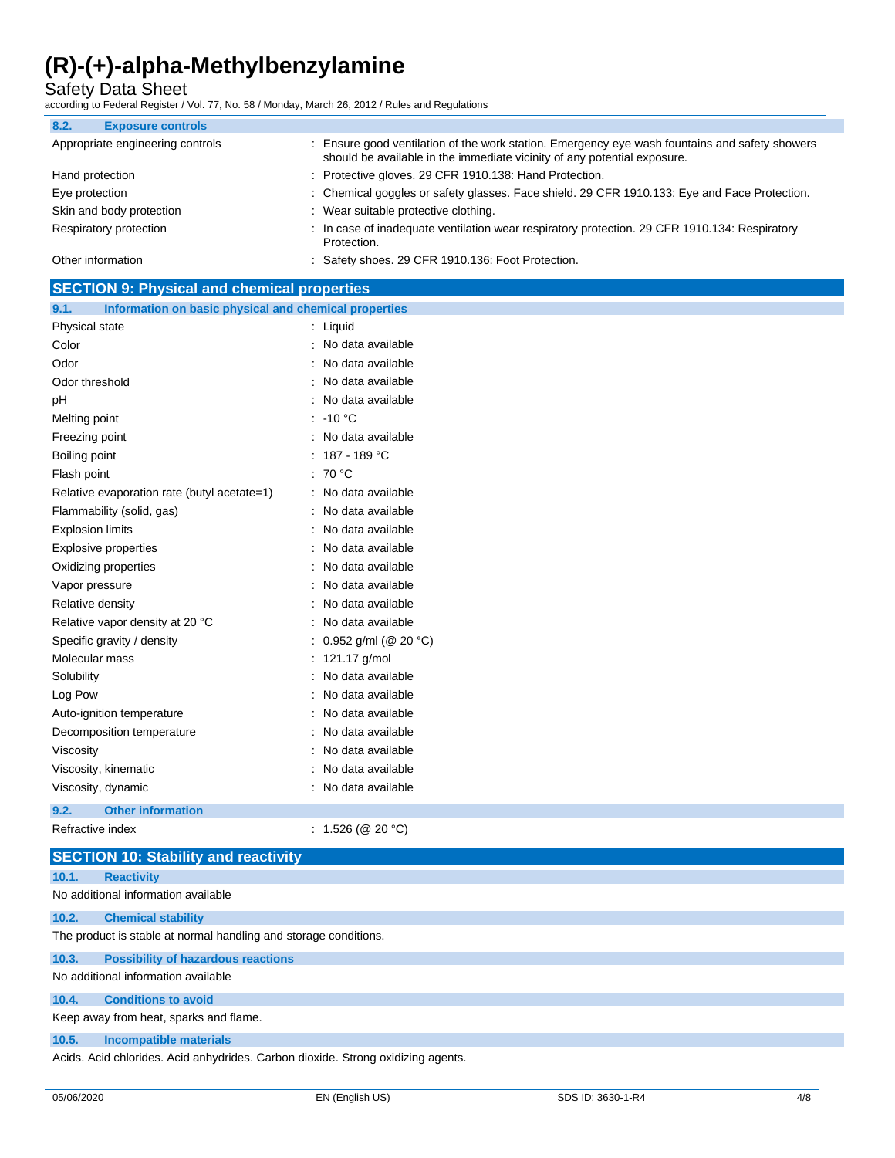Safety Data Sheet

according to Federal Register / Vol. 77, No. 58 / Monday, March 26, 2012 / Rules and Regulations

| 8.2.<br><b>Exposure controls</b> |                                                                                                                                                                            |
|----------------------------------|----------------------------------------------------------------------------------------------------------------------------------------------------------------------------|
| Appropriate engineering controls | : Ensure good ventilation of the work station. Emergency eye wash fountains and safety showers<br>should be available in the immediate vicinity of any potential exposure. |
| Hand protection                  | : Protective gloves. 29 CFR 1910.138: Hand Protection.                                                                                                                     |
| Eye protection                   | : Chemical goggles or safety glasses. Face shield. 29 CFR 1910.133: Eye and Face Protection.                                                                               |
| Skin and body protection         | : Wear suitable protective clothing.                                                                                                                                       |
| Respiratory protection           | : In case of inadequate ventilation wear respiratory protection. 29 CFR 1910.134: Respiratory<br>Protection.                                                               |
| Other information                | : Safety shoes. 29 CFR 1910.136: Foot Protection.                                                                                                                          |

| <b>SECTION 9: Physical and chemical properties</b>            |                          |  |  |
|---------------------------------------------------------------|--------------------------|--|--|
| Information on basic physical and chemical properties<br>9.1. |                          |  |  |
| Physical state                                                | : Liquid                 |  |  |
| Color                                                         | : No data available      |  |  |
| Odor                                                          | : No data available      |  |  |
| Odor threshold                                                | : No data available      |  |  |
| pH                                                            | : No data available      |  |  |
| Melting point                                                 | $: -10 °C$               |  |  |
| Freezing point                                                | : No data available      |  |  |
| Boiling point                                                 | : $187 - 189$ °C         |  |  |
| Flash point                                                   | : 70 °C                  |  |  |
| Relative evaporation rate (butyl acetate=1)                   | : No data available      |  |  |
| Flammability (solid, gas)                                     | : No data available      |  |  |
| <b>Explosion limits</b>                                       | : No data available      |  |  |
| <b>Explosive properties</b>                                   | : No data available      |  |  |
| Oxidizing properties                                          | No data available        |  |  |
| Vapor pressure                                                | : No data available      |  |  |
| Relative density                                              | : No data available      |  |  |
| Relative vapor density at 20 °C                               | : No data available      |  |  |
| Specific gravity / density                                    | : $0.952$ g/ml (@ 20 °C) |  |  |
| Molecular mass                                                | : 121.17 g/mol           |  |  |
| Solubility                                                    | : No data available      |  |  |
| Log Pow                                                       | : No data available      |  |  |
| Auto-ignition temperature                                     | : No data available      |  |  |
| Decomposition temperature                                     | : No data available      |  |  |
| Viscosity                                                     | : No data available      |  |  |
| Viscosity, kinematic                                          | No data available        |  |  |
| Viscosity, dynamic                                            | : No data available      |  |  |

**9.2. Other information**

Refractive index : 1.526 (@ 20 °C)

|                                                                                  | <b>SECTION 10: Stability and reactivity</b>                      |  |  |
|----------------------------------------------------------------------------------|------------------------------------------------------------------|--|--|
| 10.1.                                                                            | <b>Reactivity</b>                                                |  |  |
|                                                                                  | No additional information available                              |  |  |
| 10.2.                                                                            | <b>Chemical stability</b>                                        |  |  |
|                                                                                  | The product is stable at normal handling and storage conditions. |  |  |
| 10.3.                                                                            | <b>Possibility of hazardous reactions</b>                        |  |  |
|                                                                                  | No additional information available                              |  |  |
| 10.4.                                                                            | <b>Conditions to avoid</b>                                       |  |  |
|                                                                                  | Keep away from heat, sparks and flame.                           |  |  |
| 10.5.                                                                            | Incompatible materials                                           |  |  |
| Acids. Acid chlorides. Acid anhydrides. Carbon dioxide. Strong oxidizing agents. |                                                                  |  |  |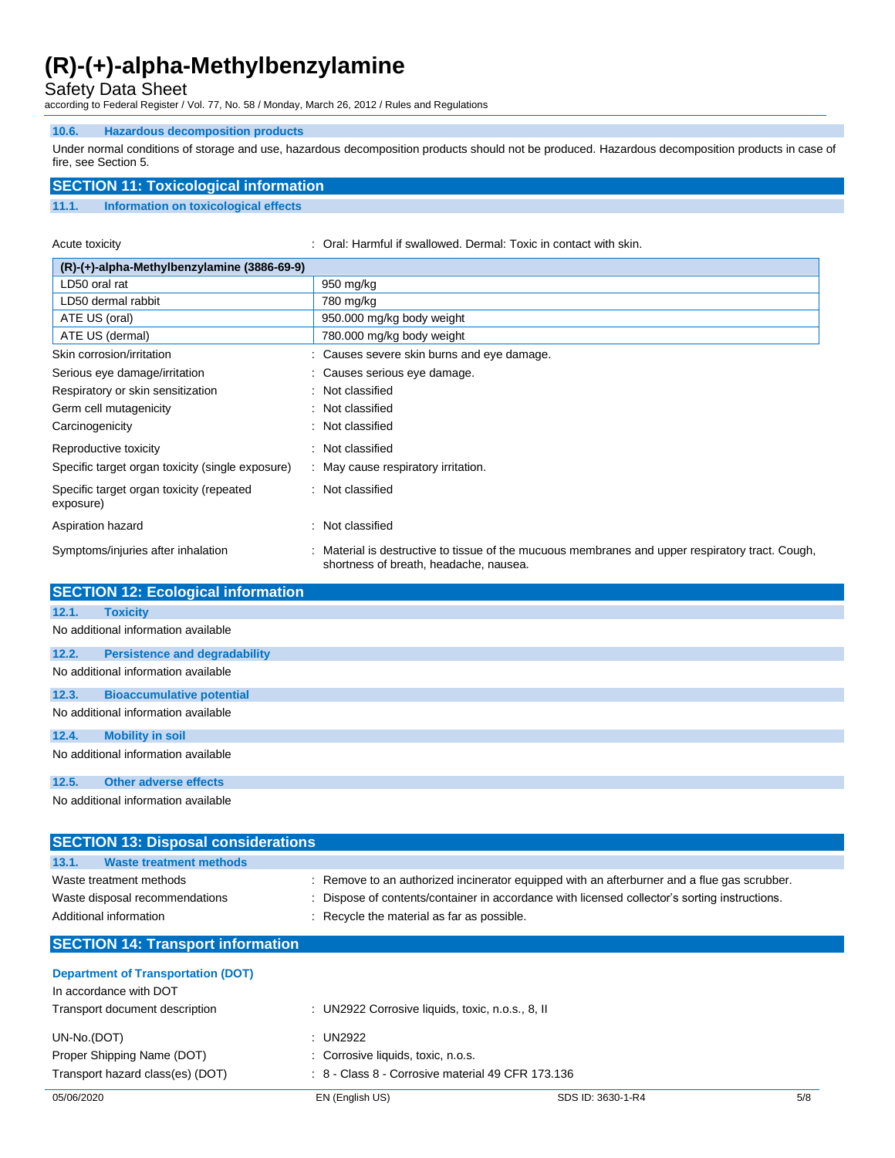Safety Data Sheet

according to Federal Register / Vol. 77, No. 58 / Monday, March 26, 2012 / Rules and Regulations

### **10.6. Hazardous decomposition products**

Under normal conditions of storage and use, hazardous decomposition products should not be produced. Hazardous decomposition products in case of fire, see Section 5.

## **SECTION 11: Toxicological information**

### **11.1. Information on toxicological effects**

Acute toxicity **in the state of the Contact With Skin.** Coral: Harmful if swallowed. Dermal: Toxic in contact with skin.

| $(R)-(+)$ -alpha-Methylbenzylamine (3886-69-9)        |                                                                                                                                          |  |
|-------------------------------------------------------|------------------------------------------------------------------------------------------------------------------------------------------|--|
| LD50 oral rat                                         | 950 mg/kg                                                                                                                                |  |
| LD50 dermal rabbit                                    | 780 mg/kg                                                                                                                                |  |
| ATE US (oral)                                         | 950.000 mg/kg body weight                                                                                                                |  |
| ATE US (dermal)                                       | 780.000 mg/kg body weight                                                                                                                |  |
| Skin corrosion/irritation                             | : Causes severe skin burns and eye damage.                                                                                               |  |
| Serious eye damage/irritation                         | : Causes serious eye damage.                                                                                                             |  |
| Respiratory or skin sensitization                     | : Not classified                                                                                                                         |  |
| Germ cell mutagenicity                                | : Not classified                                                                                                                         |  |
| Carcinogenicity                                       | : Not classified                                                                                                                         |  |
| Reproductive toxicity                                 | : Not classified                                                                                                                         |  |
| Specific target organ toxicity (single exposure)      | : May cause respiratory irritation.                                                                                                      |  |
| Specific target organ toxicity (repeated<br>exposure) | : Not classified                                                                                                                         |  |
| Aspiration hazard                                     | Not classified<br>۰.                                                                                                                     |  |
| Symptoms/injuries after inhalation                    | Material is destructive to tissue of the mucuous membranes and upper respiratory tract. Cough,<br>shortness of breath, headache, nausea. |  |

|       | <b>SECTION 12: Ecological information</b> |  |  |
|-------|-------------------------------------------|--|--|
| 12.1. | <b>Toxicity</b>                           |  |  |
|       | No additional information available       |  |  |
| 12.2. | <b>Persistence and degradability</b>      |  |  |
|       | No additional information available       |  |  |
| 12.3. | <b>Bioaccumulative potential</b>          |  |  |
|       | No additional information available       |  |  |
| 12.4. | <b>Mobility in soil</b>                   |  |  |
|       | No additional information available       |  |  |
| 12.5. | <b>Other adverse effects</b>              |  |  |
|       | No additional information available       |  |  |

| <b>SECTION 13: Disposal considerations</b> |                                                                                               |
|--------------------------------------------|-----------------------------------------------------------------------------------------------|
| <b>Waste treatment methods</b><br>13.1.    |                                                                                               |
| Waste treatment methods                    | : Remove to an authorized incinerator equipped with an afterburner and a flue gas scrubber.   |
| Waste disposal recommendations             | : Dispose of contents/container in accordance with licensed collector's sorting instructions. |
| Additional information                     | : Recycle the material as far as possible.                                                    |
| <b>SECTION 14: Transport information</b>   |                                                                                               |
| <b>Department of Transportation (DOT)</b>  |                                                                                               |
| In accordance with DOT                     |                                                                                               |
| Transport document description             |                                                                                               |
|                                            | : UN2922 Corrosive liquids, toxic, n.o.s., 8, II                                              |
| UN-No.(DOT)                                | : UN2922                                                                                      |

| Transport hazard class(es) (DOT) | $\therefore$ 8 - Class 8 - Corrosive material 49 CFR 173.136 |
|----------------------------------|--------------------------------------------------------------|
|----------------------------------|--------------------------------------------------------------|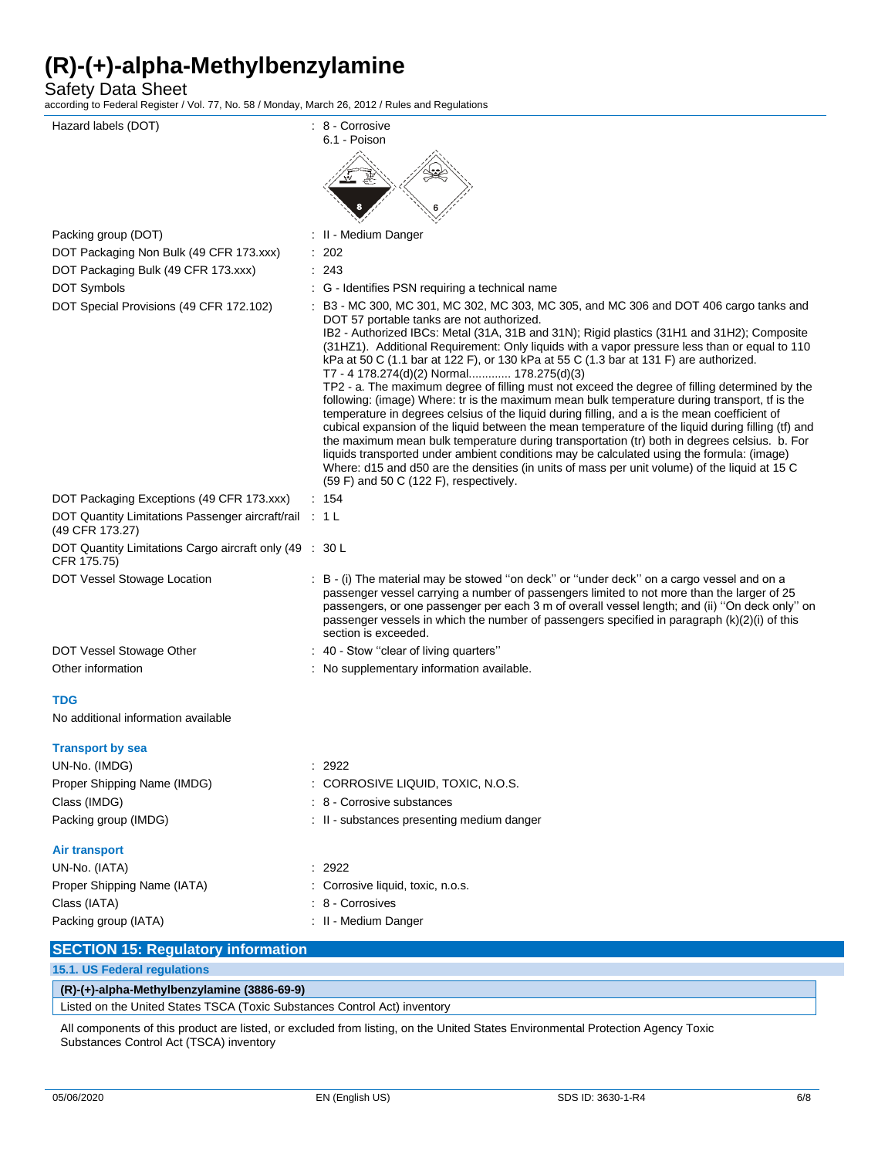Safety Data Sheet

according to Federal Register / Vol. 77, No. 58 / Monday, March 26, 2012 / Rules and Regulations

| Hazard labels (DOT)                                                       | : 8 - Corrosive<br>6.1 - Poison                                                                                                                                                                                                                                                                                                                                                                                                                                                                                                                                                                                                                                                                                                                                                                                                                                                                                                                                                                                                                                                                                                                                                                                                |
|---------------------------------------------------------------------------|--------------------------------------------------------------------------------------------------------------------------------------------------------------------------------------------------------------------------------------------------------------------------------------------------------------------------------------------------------------------------------------------------------------------------------------------------------------------------------------------------------------------------------------------------------------------------------------------------------------------------------------------------------------------------------------------------------------------------------------------------------------------------------------------------------------------------------------------------------------------------------------------------------------------------------------------------------------------------------------------------------------------------------------------------------------------------------------------------------------------------------------------------------------------------------------------------------------------------------|
|                                                                           |                                                                                                                                                                                                                                                                                                                                                                                                                                                                                                                                                                                                                                                                                                                                                                                                                                                                                                                                                                                                                                                                                                                                                                                                                                |
| Packing group (DOT)                                                       | : II - Medium Danger                                                                                                                                                                                                                                                                                                                                                                                                                                                                                                                                                                                                                                                                                                                                                                                                                                                                                                                                                                                                                                                                                                                                                                                                           |
| DOT Packaging Non Bulk (49 CFR 173.xxx)                                   | 202                                                                                                                                                                                                                                                                                                                                                                                                                                                                                                                                                                                                                                                                                                                                                                                                                                                                                                                                                                                                                                                                                                                                                                                                                            |
| DOT Packaging Bulk (49 CFR 173.xxx)                                       | : 243                                                                                                                                                                                                                                                                                                                                                                                                                                                                                                                                                                                                                                                                                                                                                                                                                                                                                                                                                                                                                                                                                                                                                                                                                          |
| DOT Symbols                                                               | : G - Identifies PSN requiring a technical name                                                                                                                                                                                                                                                                                                                                                                                                                                                                                                                                                                                                                                                                                                                                                                                                                                                                                                                                                                                                                                                                                                                                                                                |
| DOT Special Provisions (49 CFR 172.102)                                   | : B3 - MC 300, MC 301, MC 302, MC 303, MC 305, and MC 306 and DOT 406 cargo tanks and<br>DOT 57 portable tanks are not authorized.<br>IB2 - Authorized IBCs: Metal (31A, 31B and 31N); Rigid plastics (31H1 and 31H2); Composite<br>(31HZ1). Additional Requirement: Only liquids with a vapor pressure less than or equal to 110<br>kPa at 50 C (1.1 bar at 122 F), or 130 kPa at 55 C (1.3 bar at 131 F) are authorized.<br>T7 - 4 178.274(d)(2) Normal 178.275(d)(3)<br>TP2 - a. The maximum degree of filling must not exceed the degree of filling determined by the<br>following: (image) Where: tr is the maximum mean bulk temperature during transport, tf is the<br>temperature in degrees celsius of the liquid during filling, and a is the mean coefficient of<br>cubical expansion of the liquid between the mean temperature of the liquid during filling (tf) and<br>the maximum mean bulk temperature during transportation (tr) both in degrees celsius. b. For<br>liquids transported under ambient conditions may be calculated using the formula: (image)<br>Where: d15 and d50 are the densities (in units of mass per unit volume) of the liquid at 15 C<br>$(59 F)$ and 50 C $(122 F)$ , respectively. |
| DOT Packaging Exceptions (49 CFR 173.xxx)                                 | : 154                                                                                                                                                                                                                                                                                                                                                                                                                                                                                                                                                                                                                                                                                                                                                                                                                                                                                                                                                                                                                                                                                                                                                                                                                          |
| DOT Quantity Limitations Passenger aircraft/rail : 1 L<br>(49 CFR 173.27) |                                                                                                                                                                                                                                                                                                                                                                                                                                                                                                                                                                                                                                                                                                                                                                                                                                                                                                                                                                                                                                                                                                                                                                                                                                |
| DOT Quantity Limitations Cargo aircraft only (49 : 30 L<br>CFR 175.75)    |                                                                                                                                                                                                                                                                                                                                                                                                                                                                                                                                                                                                                                                                                                                                                                                                                                                                                                                                                                                                                                                                                                                                                                                                                                |
| DOT Vessel Stowage Location                                               | : B - (i) The material may be stowed "on deck" or "under deck" on a cargo vessel and on a<br>passenger vessel carrying a number of passengers limited to not more than the larger of 25<br>passengers, or one passenger per each 3 m of overall vessel length; and (ii) "On deck only" on<br>passenger vessels in which the number of passengers specified in paragraph (k)(2)(i) of this<br>section is exceeded.                                                                                                                                                                                                                                                                                                                                                                                                                                                                                                                                                                                                                                                                                                                                                                                                              |
| DOT Vessel Stowage Other                                                  | : 40 - Stow "clear of living quarters"                                                                                                                                                                                                                                                                                                                                                                                                                                                                                                                                                                                                                                                                                                                                                                                                                                                                                                                                                                                                                                                                                                                                                                                         |
| Other information                                                         | : No supplementary information available.                                                                                                                                                                                                                                                                                                                                                                                                                                                                                                                                                                                                                                                                                                                                                                                                                                                                                                                                                                                                                                                                                                                                                                                      |
| <b>TDG</b>                                                                |                                                                                                                                                                                                                                                                                                                                                                                                                                                                                                                                                                                                                                                                                                                                                                                                                                                                                                                                                                                                                                                                                                                                                                                                                                |
| No additional information available                                       |                                                                                                                                                                                                                                                                                                                                                                                                                                                                                                                                                                                                                                                                                                                                                                                                                                                                                                                                                                                                                                                                                                                                                                                                                                |
| <b>Transport by sea</b>                                                   |                                                                                                                                                                                                                                                                                                                                                                                                                                                                                                                                                                                                                                                                                                                                                                                                                                                                                                                                                                                                                                                                                                                                                                                                                                |
| UN-No. (IMDG)                                                             | : 2922                                                                                                                                                                                                                                                                                                                                                                                                                                                                                                                                                                                                                                                                                                                                                                                                                                                                                                                                                                                                                                                                                                                                                                                                                         |
| Proper Shipping Name (IMDG)                                               | CORROSIVE LIQUID, TOXIC, N.O.S.                                                                                                                                                                                                                                                                                                                                                                                                                                                                                                                                                                                                                                                                                                                                                                                                                                                                                                                                                                                                                                                                                                                                                                                                |
| Class (IMDG)                                                              | 8 - Corrosive substances                                                                                                                                                                                                                                                                                                                                                                                                                                                                                                                                                                                                                                                                                                                                                                                                                                                                                                                                                                                                                                                                                                                                                                                                       |
| Packing group (IMDG)                                                      | : II - substances presenting medium danger                                                                                                                                                                                                                                                                                                                                                                                                                                                                                                                                                                                                                                                                                                                                                                                                                                                                                                                                                                                                                                                                                                                                                                                     |
| <b>Air transport</b>                                                      |                                                                                                                                                                                                                                                                                                                                                                                                                                                                                                                                                                                                                                                                                                                                                                                                                                                                                                                                                                                                                                                                                                                                                                                                                                |
| UN-No. (IATA)                                                             | : 2922                                                                                                                                                                                                                                                                                                                                                                                                                                                                                                                                                                                                                                                                                                                                                                                                                                                                                                                                                                                                                                                                                                                                                                                                                         |
| Proper Shipping Name (IATA)                                               | Corrosive liquid, toxic, n.o.s.                                                                                                                                                                                                                                                                                                                                                                                                                                                                                                                                                                                                                                                                                                                                                                                                                                                                                                                                                                                                                                                                                                                                                                                                |
| Class (IATA)                                                              | 8 - Corrosives                                                                                                                                                                                                                                                                                                                                                                                                                                                                                                                                                                                                                                                                                                                                                                                                                                                                                                                                                                                                                                                                                                                                                                                                                 |
| Packing group (IATA)                                                      | : II - Medium Danger                                                                                                                                                                                                                                                                                                                                                                                                                                                                                                                                                                                                                                                                                                                                                                                                                                                                                                                                                                                                                                                                                                                                                                                                           |
| <b>SECTION 15: Regulatory information</b>                                 |                                                                                                                                                                                                                                                                                                                                                                                                                                                                                                                                                                                                                                                                                                                                                                                                                                                                                                                                                                                                                                                                                                                                                                                                                                |
| 15.1. US Federal regulations                                              |                                                                                                                                                                                                                                                                                                                                                                                                                                                                                                                                                                                                                                                                                                                                                                                                                                                                                                                                                                                                                                                                                                                                                                                                                                |

| $(R)-(+)$ -alpha-Methylbenzylamine (3886-69-9)                            |
|---------------------------------------------------------------------------|
| Listed on the United States TSCA (Toxic Substances Control Act) inventory |

All components of this product are listed, or excluded from listing, on the United States Environmental Protection Agency Toxic Substances Control Act (TSCA) inventory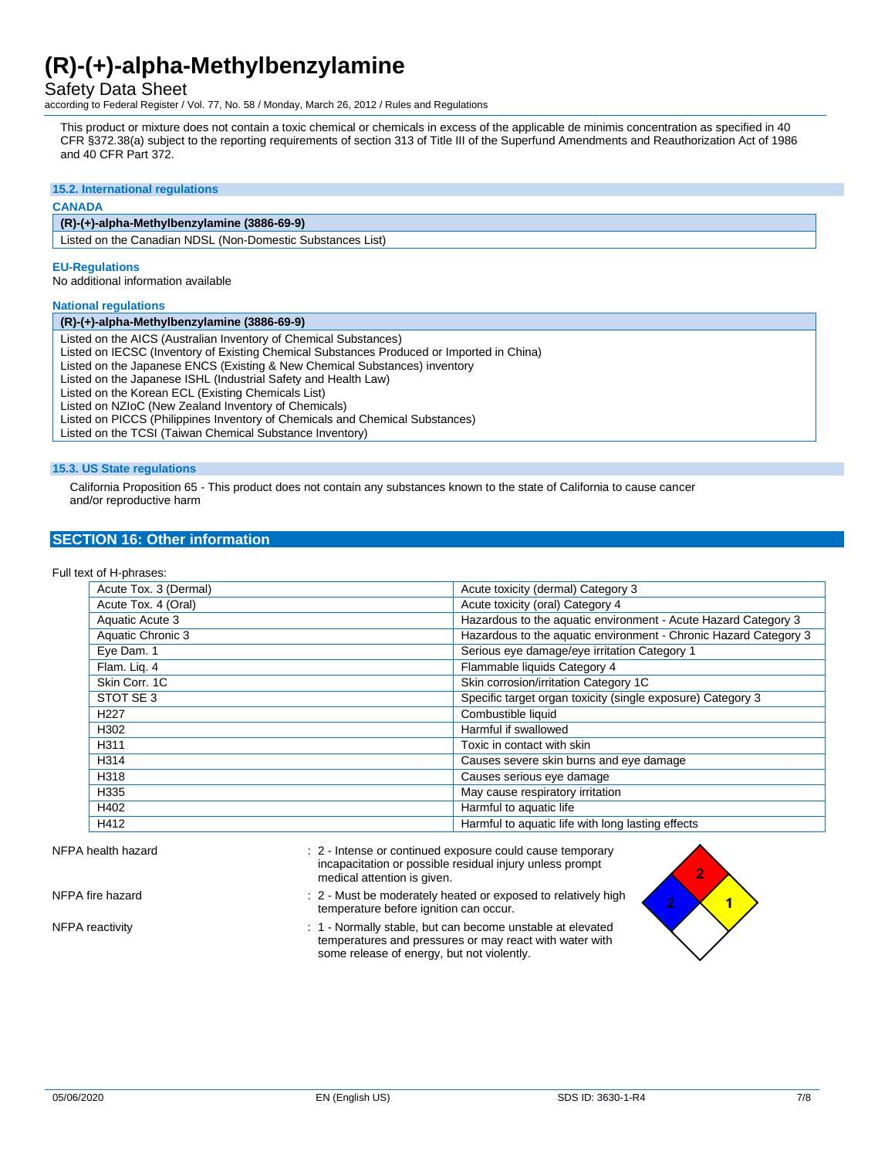Safety Data Sheet

according to Federal Register / Vol. 77, No. 58 / Monday, March 26, 2012 / Rules and Regulations

This product or mixture does not contain a toxic chemical or chemicals in excess of the applicable de minimis concentration as specified in 40 CFR §372.38(a) subject to the reporting requirements of section 313 of Title III of the Superfund Amendments and Reauthorization Act of 1986 and 40 CFR Part 372.

#### **15.2. International regulations**

#### **CANADA**

### **(R)-(+)-alpha-Methylbenzylamine (3886-69-9)**

Listed on the Canadian NDSL (Non-Domestic Substances List)

#### **EU-Regulations**

No additional information available

#### **National regulations**

#### **(R)-(+)-alpha-Methylbenzylamine (3886-69-9)**

Listed on the AICS (Australian Inventory of Chemical Substances)

Listed on IECSC (Inventory of Existing Chemical Substances Produced or Imported in China)

Listed on the Japanese ENCS (Existing & New Chemical Substances) inventory

Listed on the Japanese ISHL (Industrial Safety and Health Law)

Listed on the Korean ECL (Existing Chemicals List)

Listed on NZIoC (New Zealand Inventory of Chemicals)

Listed on PICCS (Philippines Inventory of Chemicals and Chemical Substances)

Listed on the TCSI (Taiwan Chemical Substance Inventory)

#### **15.3. US State regulations**

California Proposition 65 - This product does not contain any substances known to the state of California to cause cancer and/or reproductive harm

### **SECTION 16: Other information**

#### Full text of H-phrases:

| Acute Tox. 3 (Dermal) | Acute toxicity (dermal) Category 3                               |
|-----------------------|------------------------------------------------------------------|
| Acute Tox. 4 (Oral)   | Acute toxicity (oral) Category 4                                 |
| Aquatic Acute 3       | Hazardous to the aquatic environment - Acute Hazard Category 3   |
| Aquatic Chronic 3     | Hazardous to the aquatic environment - Chronic Hazard Category 3 |
| Eye Dam. 1            | Serious eye damage/eye irritation Category 1                     |
| Flam. Lig. 4          | Flammable liquids Category 4                                     |
| Skin Corr. 1C         | Skin corrosion/irritation Category 1C                            |
| STOT SE 3             | Specific target organ toxicity (single exposure) Category 3      |
| H <sub>227</sub>      | Combustible liquid                                               |
| H302                  | Harmful if swallowed                                             |
| H311                  | Toxic in contact with skin                                       |
| H314                  | Causes severe skin burns and eye damage                          |
| H318                  | Causes serious eye damage                                        |
| H335                  | May cause respiratory irritation                                 |
| H402                  | Harmful to aquatic life                                          |
| H412                  | Harmful to aquatic life with long lasting effects                |

### NFPA health hazard **interval in the state of the state of continued exposure could cause temporary**  $\cdot$ incapacitation or possible residual injury unless prompt medical attention is given.

- NFPA fire hazard **interest and the moderately heated or exposed to relatively high** NFPA fire temperature before ignition can occur.
- NFPA reactivity **interest and the COV** interest 1 Normally stable, but can become unstable at elevated temperatures and pressures or may react with water with some release of energy, but not violently.